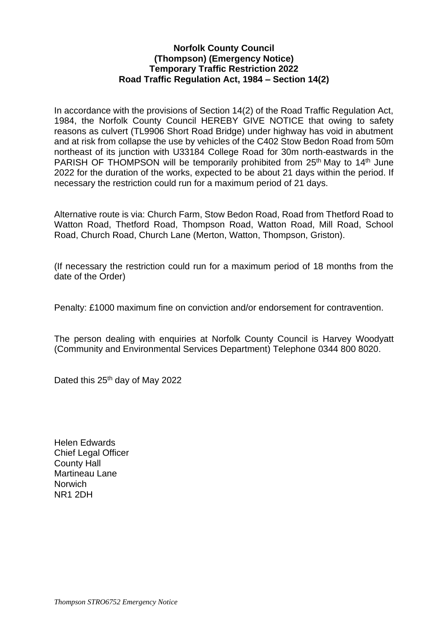## **Norfolk County Council (Thompson) (Emergency Notice) Temporary Traffic Restriction 2022 Road Traffic Regulation Act, 1984 – Section 14(2)**

In accordance with the provisions of Section 14(2) of the Road Traffic Regulation Act, 1984, the Norfolk County Council HEREBY GIVE NOTICE that owing to safety reasons as culvert (TL9906 Short Road Bridge) under highway has void in abutment and at risk from collapse the use by vehicles of the C402 Stow Bedon Road from 50m northeast of its junction with U33184 College Road for 30m north-eastwards in the PARISH OF THOMPSON will be temporarily prohibited from 25<sup>th</sup> May to 14<sup>th</sup> June 2022 for the duration of the works, expected to be about 21 days within the period. If necessary the restriction could run for a maximum period of 21 days.

Alternative route is via: Church Farm, Stow Bedon Road, Road from Thetford Road to Watton Road, Thetford Road, Thompson Road, Watton Road, Mill Road, School Road, Church Road, Church Lane (Merton, Watton, Thompson, Griston).

(If necessary the restriction could run for a maximum period of 18 months from the date of the Order)

Penalty: £1000 maximum fine on conviction and/or endorsement for contravention.

The person dealing with enquiries at Norfolk County Council is Harvey Woodyatt (Community and Environmental Services Department) Telephone 0344 800 8020.

Dated this 25<sup>th</sup> day of May 2022

Helen Edwards Chief Legal Officer County Hall Martineau Lane **Norwich** NR1 2DH